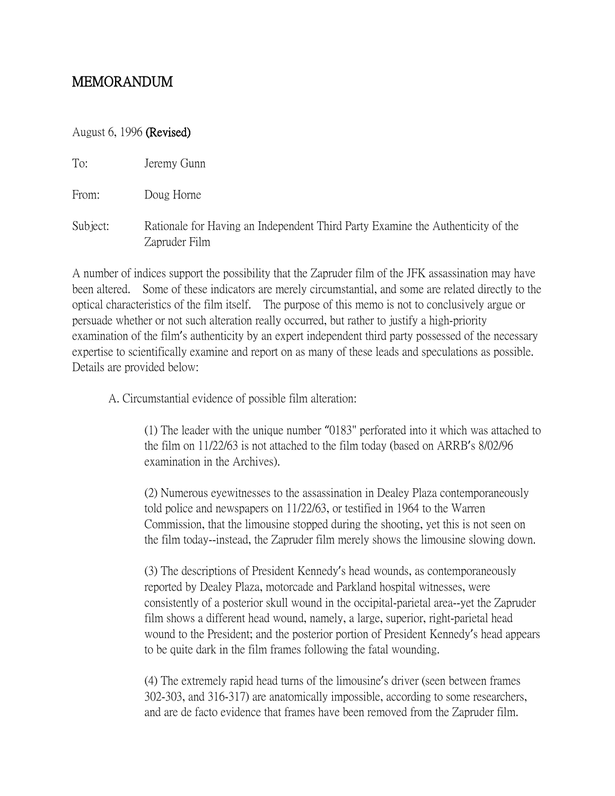## MEMORANDUM

## August 6, 1996 (Revised)

| To: | Jeremy Gunn |  |
|-----|-------------|--|
|     |             |  |

From: Doug Horne

Subject: Rationale for Having an Independent Third Party Examine the Authenticity of the Zapruder Film

A number of indices support the possibility that the Zapruder film of the JFK assassination may have been altered. Some of these indicators are merely circumstantial, and some are related directly to the optical characteristics of the film itself. The purpose of this memo is not to conclusively argue or persuade whether or not such alteration really occurred, but rather to justify a high-priority examination of the film's authenticity by an expert independent third party possessed of the necessary expertise to scientifically examine and report on as many of these leads and speculations as possible. Details are provided below:

A. Circumstantial evidence of possible film alteration:

(1) The leader with the unique number "0183" perforated into it which was attached to the film on 11/22/63 is not attached to the film today (based on ARRB's 8/02/96 examination in the Archives).

(2) Numerous eyewitnesses to the assassination in Dealey Plaza contemporaneously told police and newspapers on 11/22/63, or testified in 1964 to the Warren Commission, that the limousine stopped during the shooting, yet this is not seen on the film today--instead, the Zapruder film merely shows the limousine slowing down.

(3) The descriptions of President Kennedy's head wounds, as contemporaneously reported by Dealey Plaza, motorcade and Parkland hospital witnesses, were consistently of a posterior skull wound in the occipital-parietal area--yet the Zapruder film shows a different head wound, namely, a large, superior, right-parietal head wound to the President; and the posterior portion of President Kennedy's head appears to be quite dark in the film frames following the fatal wounding.

(4) The extremely rapid head turns of the limousine's driver (seen between frames 302-303, and 316-317) are anatomically impossible, according to some researchers, and are de facto evidence that frames have been removed from the Zapruder film.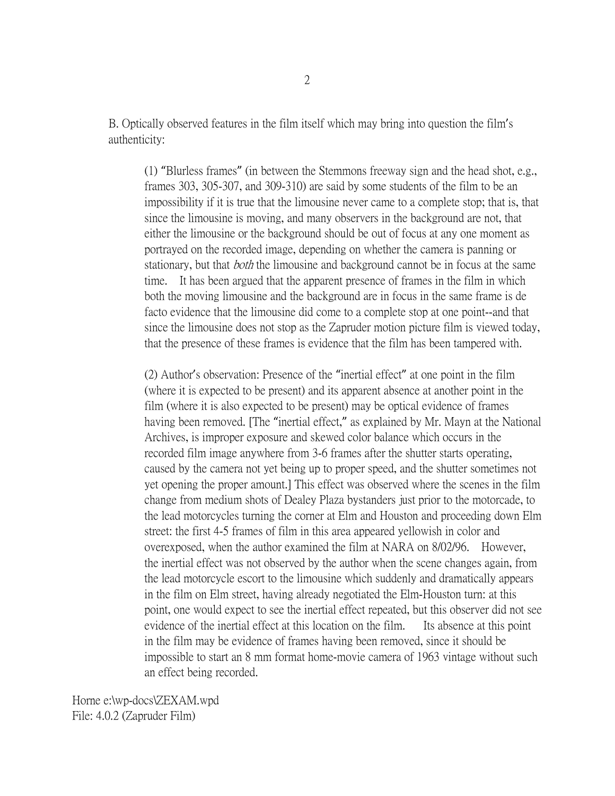B. Optically observed features in the film itself which may bring into question the film's authenticity:

(1) "Blurless frames" (in between the Stemmons freeway sign and the head shot, e.g., frames 303, 305-307, and 309-310) are said by some students of the film to be an impossibility if it is true that the limousine never came to a complete stop; that is, that since the limousine is moving, and many observers in the background are not, that either the limousine or the background should be out of focus at any one moment as portrayed on the recorded image, depending on whether the camera is panning or stationary, but that *both* the limousine and background cannot be in focus at the same time. It has been argued that the apparent presence of frames in the film in which both the moving limousine and the background are in focus in the same frame is de facto evidence that the limousine did come to a complete stop at one point--and that since the limousine does not stop as the Zapruder motion picture film is viewed today, that the presence of these frames is evidence that the film has been tampered with.

(2) Author's observation: Presence of the "inertial effect" at one point in the film (where it is expected to be present) and its apparent absence at another point in the film (where it is also expected to be present) may be optical evidence of frames having been removed. [The "inertial effect," as explained by Mr. Mayn at the National Archives, is improper exposure and skewed color balance which occurs in the recorded film image anywhere from 3-6 frames after the shutter starts operating, caused by the camera not yet being up to proper speed, and the shutter sometimes not yet opening the proper amount.] This effect was observed where the scenes in the film change from medium shots of Dealey Plaza bystanders just prior to the motorcade, to the lead motorcycles turning the corner at Elm and Houston and proceeding down Elm street: the first 4-5 frames of film in this area appeared yellowish in color and overexposed, when the author examined the film at NARA on 8/02/96. However, the inertial effect was not observed by the author when the scene changes again, from the lead motorcycle escort to the limousine which suddenly and dramatically appears in the film on Elm street, having already negotiated the Elm-Houston turn: at this point, one would expect to see the inertial effect repeated, but this observer did not see evidence of the inertial effect at this location on the film. Its absence at this point in the film may be evidence of frames having been removed, since it should be impossible to start an 8 mm format home-movie camera of 1963 vintage without such an effect being recorded.

Horne e:\wp-docs\ZEXAM.wpd File: 4.0.2 (Zapruder Film)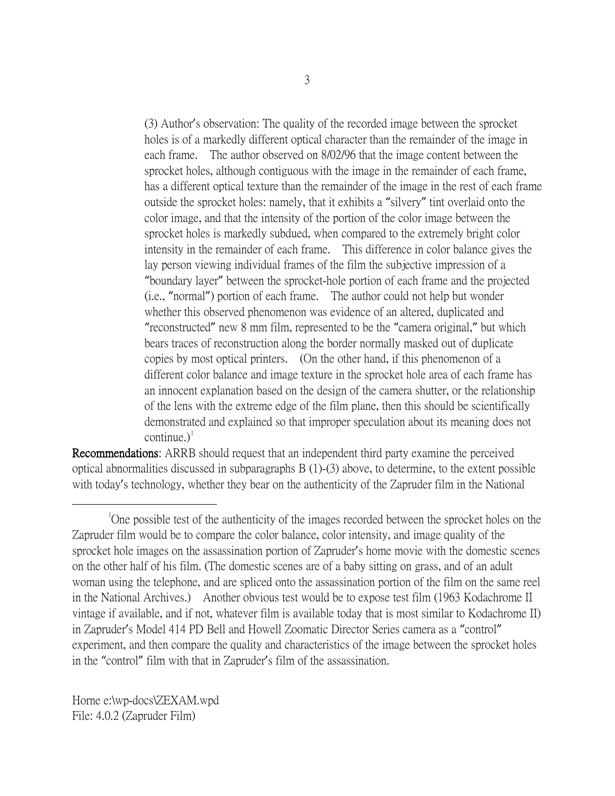(3) Author's observation: The quality of the recorded image between the sprocket holes is of a markedly different optical character than the remainder of the image in each frame. The author observed on 8/02/96 that the image content between the sprocket holes, although contiguous with the image in the remainder of each frame, has a different optical texture than the remainder of the image in the rest of each frame outside the sprocket holes: namely, that it exhibits a "silvery" tint overlaid onto the color image, and that the intensity of the portion of the color image between the sprocket holes is markedly subdued, when compared to the extremely bright color intensity in the remainder of each frame. This difference in color balance gives the lay person viewing individual frames of the film the subjective impression of a "boundary layer" between the sprocket-hole portion of each frame and the projected (i.e., "normal") portion of each frame. The author could not help but wonder whether this observed phenomenon was evidence of an altered, duplicated and "reconstructed" new 8 mm film, represented to be the "camera original," but which bears traces of reconstruction along the border normally masked out of duplicate copies by most optical printers. (On the other hand, if this phenomenon of a different color balance and image texture in the sprocket hole area of each frame has an innocent explanation based on the design of the camera shutter, or the relationship of the lens with the extreme edge of the film plane, then this should be scientifically demonstrated and explained so that improper speculation about its meaning does not continue.) $<sup>1</sup>$  $<sup>1</sup>$  $<sup>1</sup>$ </sup>

Recommendations: ARRB should request that an independent third party examine the perceived optical abnormalities discussed in subparagraphs B (1)-(3) above, to determine, to the extent possible with today's technology, whether they bear on the authenticity of the Zapruder film in the National

Horne e:\wp-docs\ZEXAM.wpd File: 4.0.2 (Zapruder Film)

<span id="page-2-0"></span> $\overline{\phantom{a}}$ <sup>1</sup>One possible test of the authenticity of the images recorded between the sprocket holes on the Zapruder film would be to compare the color balance, color intensity, and image quality of the sprocket hole images on the assassination portion of Zapruder's home movie with the domestic scenes on the other half of his film. (The domestic scenes are of a baby sitting on grass, and of an adult woman using the telephone, and are spliced onto the assassination portion of the film on the same reel in the National Archives.) Another obvious test would be to expose test film (1963 Kodachrome II vintage if available, and if not, whatever film is available today that is most similar to Kodachrome II) in Zapruder's Model 414 PD Bell and Howell Zoomatic Director Series camera as a "control" experiment, and then compare the quality and characteristics of the image between the sprocket holes in the "control" film with that in Zapruder's film of the assassination.